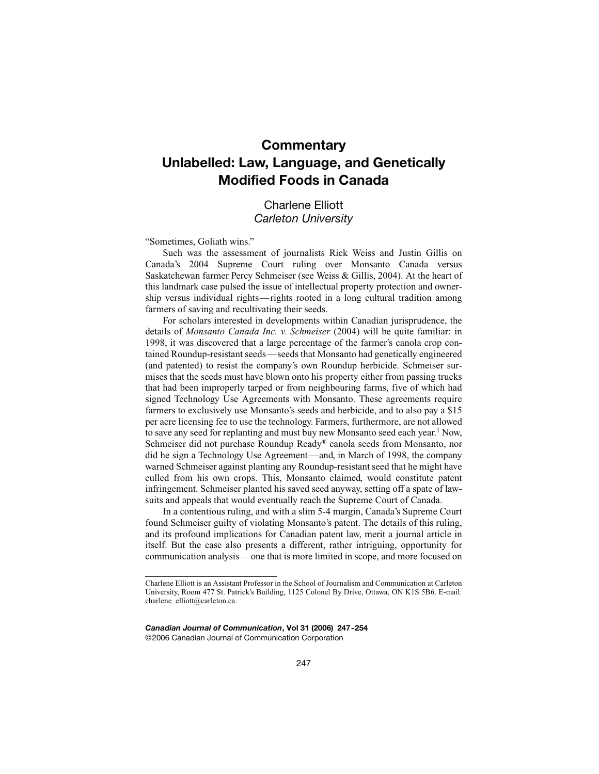# **Commentary Unlabelled: Law, Language, and Genetically Modified Foods in Canada**

# Charlene Elliott *Carleton University*

"Sometimes, Goliath wins."

Such was the assessment of journalists Rick Weiss and Justin Gillis on Canada's 2004 Supreme Court ruling over Monsanto Canada versus Saskatchewan farmer Percy Schmeiser (see Weiss & Gillis, 2004). At the heart of this landmark case pulsed the issue of intellectual property protection and ownership versus individual rights—rights rooted in a long cultural tradition among farmers of saving and recultivating their seeds.

For scholars interested in developments within Canadian jurisprudence, the details of *Monsanto Canada Inc. v. Schmeiser* (2004) will be quite familiar: in 1998, it was discovered that a large percentage of the farmer's canola crop contained Roundup-resistant seeds—seeds that Monsanto had genetically engineered (and patented) to resist the company's own Roundup herbicide. Schmeiser surmises that the seeds must have blown onto his property either from passing trucks that had been improperly tarped or from neighbouring farms, five of which had signed Technology Use Agreements with Monsanto. These agreements require farmers to exclusively use Monsanto's seeds and herbicide, and to also pay a \$15 per acre licensing fee to use the technology. Farmers, furthermore, are not allowed to save any seed for replanting and must buy new Monsanto seed each year.<sup>1</sup> Now, Schmeiser did not purchase Roundup Ready® canola seeds from Monsanto, nor did he sign a Technology Use Agreement—and, in March of 1998, the company warned Schmeiser against planting any Roundup-resistant seed that he might have culled from his own crops. This, Monsanto claimed, would constitute patent infringement. Schmeiser planted his saved seed anyway, setting off a spate of lawsuits and appeals that would eventually reach the Supreme Court of Canada.

In a contentious ruling, and with a slim 5-4 margin, Canada's Supreme Court found Schmeiser guilty of violating Monsanto's patent. The details of this ruling, and its profound implications for Canadian patent law, merit a journal article in itself. But the case also presents a different, rather intriguing, opportunity for communication analysis—one that is more limited in scope, and more focused on

*Canadian Journal of Communication***, Vol 31 (2006) 247-254** ©2006 Canadian Journal of Communication Corporation

Charlene Elliott is an Assistant Professor in the School of Journalism and Communication at Carleton University, Room 477 St. Patrick's Building, 1125 Colonel By Drive, Ottawa, ON K1S 5B6. E-mail: charlene\_elliott@carleton.ca.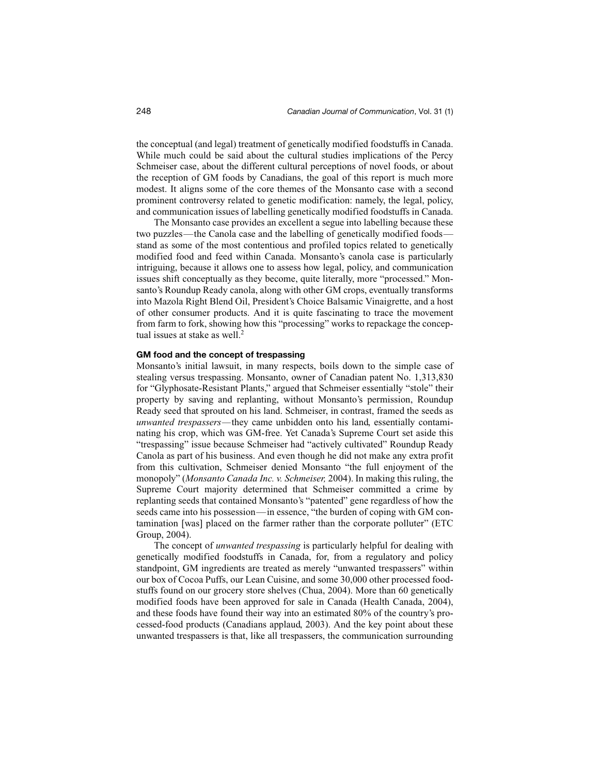the conceptual (and legal) treatment of genetically modified foodstuffs in Canada. While much could be said about the cultural studies implications of the Percy Schmeiser case, about the different cultural perceptions of novel foods, or about the reception of GM foods by Canadians, the goal of this report is much more modest. It aligns some of the core themes of the Monsanto case with a second prominent controversy related to genetic modification: namely, the legal, policy, and communication issues of labelling genetically modified foodstuffs in Canada.

The Monsanto case provides an excellent a segue into labelling because these two puzzles—the Canola case and the labelling of genetically modified foods stand as some of the most contentious and profiled topics related to genetically modified food and feed within Canada. Monsanto's canola case is particularly intriguing, because it allows one to assess how legal, policy, and communication issues shift conceptually as they become, quite literally, more "processed." Monsanto's Roundup Ready canola, along with other GM crops, eventually transforms into Mazola Right Blend Oil, President's Choice Balsamic Vinaigrette, and a host of other consumer products. And it is quite fascinating to trace the movement from farm to fork, showing how this "processing" works to repackage the conceptual issues at stake as well.<sup>2</sup>

# **GM food and the concept of trespassing**

Monsanto's initial lawsuit, in many respects, boils down to the simple case of stealing versus trespassing. Monsanto, owner of Canadian patent No. 1,313,830 for "Glyphosate-Resistant Plants," argued that Schmeiser essentially "stole" their property by saving and replanting, without Monsanto's permission, Roundup Ready seed that sprouted on his land. Schmeiser, in contrast, framed the seeds as *unwanted trespassers—*they came unbidden onto his land, essentially contaminating his crop, which was GM-free. Yet Canada's Supreme Court set aside this "trespassing" issue because Schmeiser had "actively cultivated" Roundup Ready Canola as part of his business. And even though he did not make any extra profit from this cultivation, Schmeiser denied Monsanto "the full enjoyment of the monopoly" (*Monsanto Canada Inc. v. Schmeiser,* 2004). In making this ruling, the Supreme Court majority determined that Schmeiser committed a crime by replanting seeds that contained Monsanto's "patented" gene regardless of how the seeds came into his possession—in essence, "the burden of coping with GM contamination [was] placed on the farmer rather than the corporate polluter" (ETC Group, 2004).

The concept of *unwanted trespassing* is particularly helpful for dealing with genetically modified foodstuffs in Canada, for, from a regulatory and policy standpoint, GM ingredients are treated as merely "unwanted trespassers" within our box of Cocoa Puffs, our Lean Cuisine, and some 30,000 other processed foodstuffs found on our grocery store shelves (Chua, 2004). More than 60 genetically modified foods have been approved for sale in Canada (Health Canada, 2004), and these foods have found their way into an estimated 80% of the country's processed-food products (Canadians applaud, 2003). And the key point about these unwanted trespassers is that, like all trespassers, the communication surrounding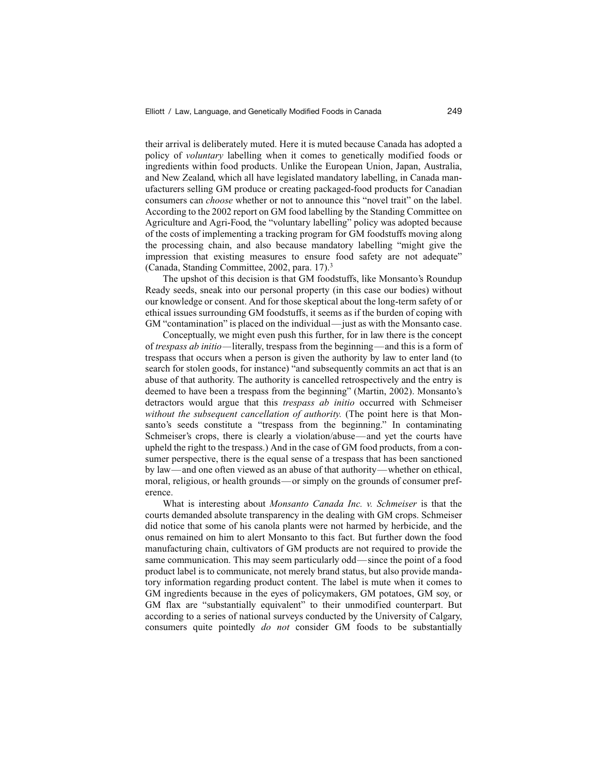their arrival is deliberately muted. Here it is muted because Canada has adopted a policy of *voluntary* labelling when it comes to genetically modified foods or ingredients within food products. Unlike the European Union, Japan, Australia, and New Zealand, which all have legislated mandatory labelling, in Canada manufacturers selling GM produce or creating packaged-food products for Canadian consumers can *choose* whether or not to announce this "novel trait" on the label. According to the 2002 report on GM food labelling by the Standing Committee on Agriculture and Agri-Food, the "voluntary labelling" policy was adopted because of the costs of implementing a tracking program for GM foodstuffs moving along the processing chain, and also because mandatory labelling "might give the impression that existing measures to ensure food safety are not adequate" (Canada, Standing Committee, 2002, para. 17).3

The upshot of this decision is that GM foodstuffs, like Monsanto's Roundup Ready seeds, sneak into our personal property (in this case our bodies) without our knowledge or consent. And for those skeptical about the long-term safety of or ethical issues surrounding GM foodstuffs, it seems as if the burden of coping with GM "contamination" is placed on the individual—just as with the Monsanto case.

Conceptually, we might even push this further, for in law there is the concept of *trespass ab initio—*literally, trespass from the beginning—and this is a form of trespass that occurs when a person is given the authority by law to enter land (to search for stolen goods, for instance) "and subsequently commits an act that is an abuse of that authority. The authority is cancelled retrospectively and the entry is deemed to have been a trespass from the beginning" (Martin, 2002). Monsanto's detractors would argue that this *trespass ab initio* occurred with Schmeiser without the subsequent cancellation of authority. (The point here is that Monsanto's seeds constitute a "trespass from the beginning." In contaminating Schmeiser's crops, there is clearly a violation/abuse—and yet the courts have upheld the right to the trespass.) And in the case of GM food products, from a consumer perspective, there is the equal sense of a trespass that has been sanctioned by law—and one often viewed as an abuse of that authority—whether on ethical, moral, religious, or health grounds—or simply on the grounds of consumer preference.

What is interesting about *Monsanto Canada Inc. v. Schmeiser* is that the courts demanded absolute transparency in the dealing with GM crops. Schmeiser did notice that some of his canola plants were not harmed by herbicide, and the onus remained on him to alert Monsanto to this fact. But further down the food manufacturing chain, cultivators of GM products are not required to provide the same communication. This may seem particularly odd—since the point of a food product label is to communicate, not merely brand status, but also provide mandatory information regarding product content. The label is mute when it comes to GM ingredients because in the eyes of policymakers, GM potatoes, GM soy, or GM flax are "substantially equivalent" to their unmodified counterpart. But according to a series of national surveys conducted by the University of Calgary, consumers quite pointedly *do not* consider GM foods to be substantially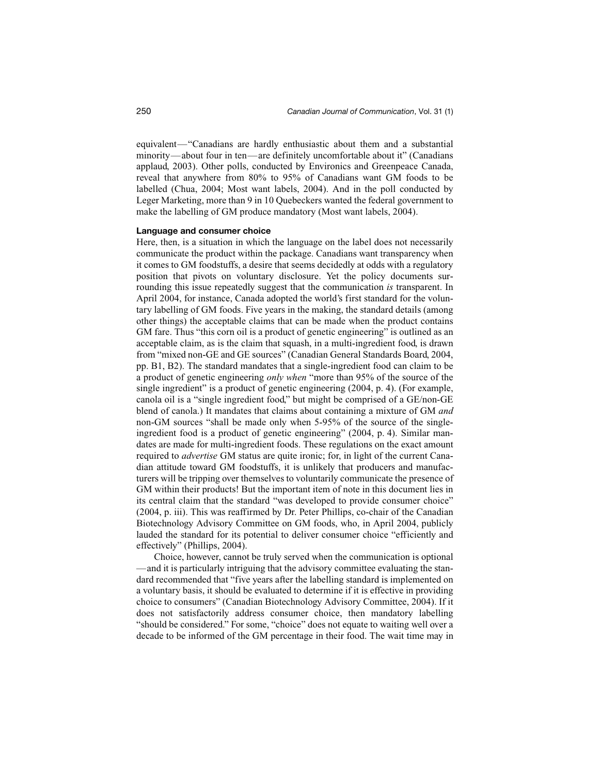equivalent—"Canadians are hardly enthusiastic about them and a substantial minority—about four in ten—are definitely uncomfortable about it" (Canadians applaud, 2003). Other polls, conducted by Environics and Greenpeace Canada, reveal that anywhere from 80% to 95% of Canadians want GM foods to be labelled (Chua, 2004; Most want labels, 2004). And in the poll conducted by Leger Marketing, more than 9 in 10 Quebeckers wanted the federal government to make the labelling of GM produce mandatory (Most want labels, 2004).

## **Language and consumer choice**

Here, then, is a situation in which the language on the label does not necessarily communicate the product within the package. Canadians want transparency when it comes to GM foodstuffs, a desire that seems decidedly at odds with a regulatory position that pivots on voluntary disclosure. Yet the policy documents surrounding this issue repeatedly suggest that the communication *is* transparent. In April 2004, for instance, Canada adopted the world's first standard for the voluntary labelling of GM foods. Five years in the making, the standard details (among other things) the acceptable claims that can be made when the product contains GM fare. Thus "this corn oil is a product of genetic engineering" is outlined as an acceptable claim, as is the claim that squash, in a multi-ingredient food, is drawn from "mixed non-GE and GE sources" (Canadian General Standards Board, 2004, pp. B1, B2). The standard mandates that a single-ingredient food can claim to be a product of genetic engineering *only when* "more than 95% of the source of the single ingredient" is a product of genetic engineering (2004, p. 4). (For example, canola oil is a "single ingredient food," but might be comprised of a GE/non-GE blend of canola.) It mandates that claims about containing a mixture of GM *and* non-GM sources "shall be made only when 5-95% of the source of the singleingredient food is a product of genetic engineering" (2004, p. 4). Similar mandates are made for multi-ingredient foods. These regulations on the exact amount required to *advertise* GM status are quite ironic; for, in light of the current Canadian attitude toward GM foodstuffs, it is unlikely that producers and manufacturers will be tripping over themselves to voluntarily communicate the presence of GM within their products! But the important item of note in this document lies in its central claim that the standard "was developed to provide consumer choice" (2004, p. iii). This was reaffirmed by Dr. Peter Phillips, co-chair of the Canadian Biotechnology Advisory Committee on GM foods, who, in April 2004, publicly lauded the standard for its potential to deliver consumer choice "efficiently and effectively" (Phillips, 2004).

Choice, however, cannot be truly served when the communication is optional —and it is particularly intriguing that the advisory committee evaluating the standard recommended that "five years after the labelling standard is implemented on a voluntary basis, it should be evaluated to determine if it is effective in providing choice to consumers" (Canadian Biotechnology Advisory Committee, 2004). If it does not satisfactorily address consumer choice, then mandatory labelling "should be considered." For some, "choice" does not equate to waiting well over a decade to be informed of the GM percentage in their food. The wait time may in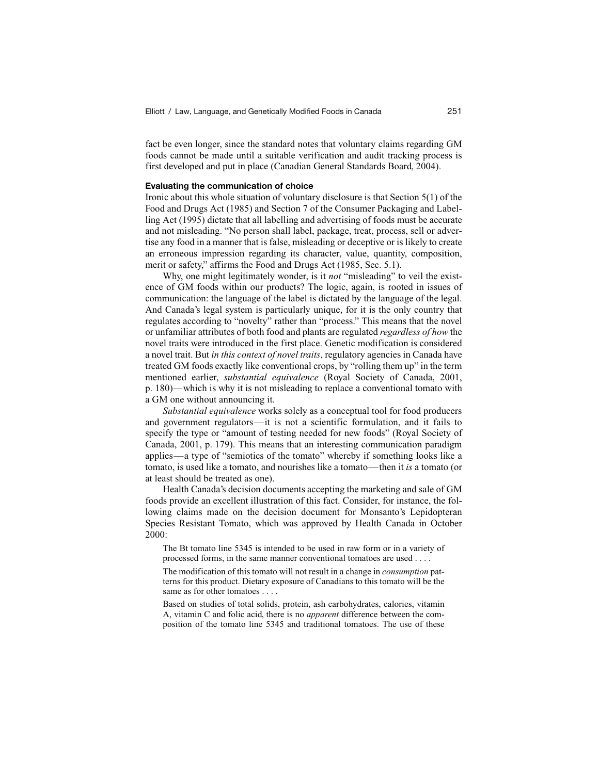fact be even longer, since the standard notes that voluntary claims regarding GM foods cannot be made until a suitable verification and audit tracking process is first developed and put in place (Canadian General Standards Board, 2004).

# **Evaluating the communication of choice**

Ironic about this whole situation of voluntary disclosure is that Section 5(1) of the Food and Drugs Act (1985) and Section 7 of the Consumer Packaging and Labelling Act (1995) dictate that all labelling and advertising of foods must be accurate and not misleading. "No person shall label, package, treat, process, sell or advertise any food in a manner that is false, misleading or deceptive or is likely to create an erroneous impression regarding its character, value, quantity, composition, merit or safety," affirms the Food and Drugs Act (1985, Sec. 5.1).

Why, one might legitimately wonder, is it *not* "misleading" to veil the existence of GM foods within our products? The logic, again, is rooted in issues of communication: the language of the label is dictated by the language of the legal. And Canada's legal system is particularly unique, for it is the only country that regulates according to "novelty" rather than "process." This means that the novel or unfamiliar attributes of both food and plants are regulated *regardless of how* the novel traits were introduced in the first place. Genetic modification is considered a novel trait. But *in this context of novel traits*, regulatory agencies in Canada have treated GM foods exactly like conventional crops, by "rolling them up" in the term mentioned earlier, *substantial equivalence* (Royal Society of Canada, 2001, p. 180)*—*which is why it is not misleading to replace a conventional tomato with a GM one without announcing it.

*Substantial equivalence* works solely as a conceptual tool for food producers and government regulators—it is not a scientific formulation, and it fails to specify the type or "amount of testing needed for new foods" (Royal Society of Canada, 2001, p. 179). This means that an interesting communication paradigm applies—a type of "semiotics of the tomato" whereby if something looks like a tomato, is used like a tomato, and nourishes like a tomato—then it *is* a tomato (or at least should be treated as one).

Health Canada's decision documents accepting the marketing and sale of GM foods provide an excellent illustration of this fact. Consider, for instance, the following claims made on the decision document for Monsanto's Lepidopteran Species Resistant Tomato, which was approved by Health Canada in October 2000:

The Bt tomato line 5345 is intended to be used in raw form or in a variety of processed forms, in the same manner conventional tomatoes are used . . . .

The modification of this tomato will not result in a change in *consumption* patterns for this product. Dietary exposure of Canadians to this tomato will be the same as for other tomatoes . . . .

Based on studies of total solids, protein, ash carbohydrates, calories, vitamin A, vitamin C and folic acid, there is no *apparent* difference between the composition of the tomato line 5345 and traditional tomatoes. The use of these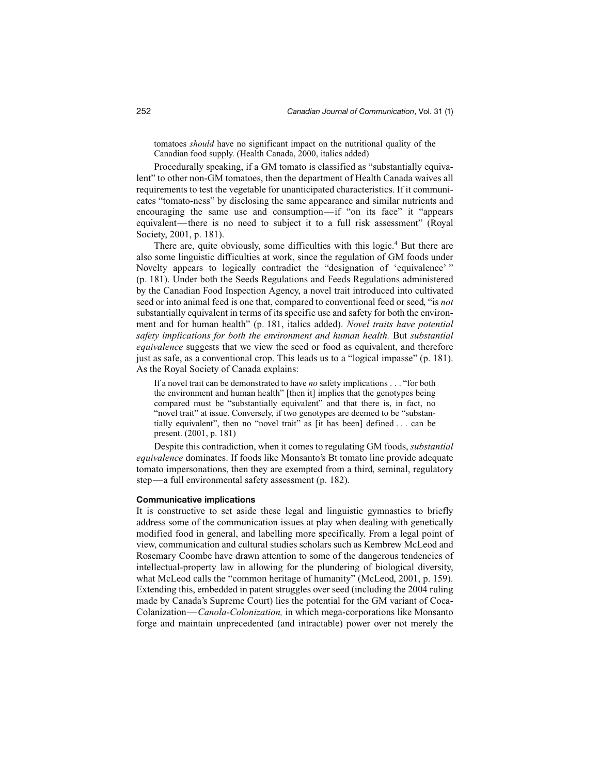tomatoes *should* have no significant impact on the nutritional quality of the Canadian food supply. (Health Canada, 2000, italics added)

Procedurally speaking, if a GM tomato is classified as "substantially equivalent" to other non-GM tomatoes, then the department of Health Canada waives all requirements to test the vegetable for unanticipated characteristics. If it communicates "tomato-ness" by disclosing the same appearance and similar nutrients and encouraging the same use and consumption—if "on its face" it "appears equivalent—there is no need to subject it to a full risk assessment" (Royal Society, 2001, p. 181).

There are, quite obviously, some difficulties with this logic.<sup>4</sup> But there are also some linguistic difficulties at work, since the regulation of GM foods under Novelty appears to logically contradict the "designation of 'equivalence' " (p. 181). Under both the Seeds Regulations and Feeds Regulations administered by the Canadian Food Inspection Agency, a novel trait introduced into cultivated seed or into animal feed is one that, compared to conventional feed or seed, "is *not* substantially equivalent in terms of its specific use and safety for both the environment and for human health" (p. 181, italics added). *Novel traits have potential safety implications for both the environment and human health.* But *substantial equivalence* suggests that we view the seed or food as equivalent, and therefore just as safe, as a conventional crop. This leads us to a "logical impasse" (p. 181). As the Royal Society of Canada explains:

If a novel trait can be demonstrated to have *no* safety implications . . . "for both the environment and human health" [then it] implies that the genotypes being compared must be "substantially equivalent" and that there is, in fact, no "novel trait" at issue. Conversely, if two genotypes are deemed to be "substantially equivalent", then no "novel trait" as [it has been] defined . . . can be present. (2001, p. 181)

Despite this contradiction, when it comes to regulating GM foods, *substantial equivalence* dominates. If foods like Monsanto's Bt tomato line provide adequate tomato impersonations, then they are exempted from a third, seminal, regulatory step—a full environmental safety assessment (p. 182).

#### **Communicative implications**

It is constructive to set aside these legal and linguistic gymnastics to briefly address some of the communication issues at play when dealing with genetically modified food in general, and labelling more specifically. From a legal point of view, communication and cultural studies scholars such as Kembrew McLeod and Rosemary Coombe have drawn attention to some of the dangerous tendencies of intellectual-property law in allowing for the plundering of biological diversity, what McLeod calls the "common heritage of humanity" (McLeod, 2001, p. 159). Extending this, embedded in patent struggles over seed (including the 2004 ruling made by Canada's Supreme Court) lies the potential for the GM variant of Coca-Colanization—*Canola-Colonization,* in which mega-corporations like Monsanto forge and maintain unprecedented (and intractable) power over not merely the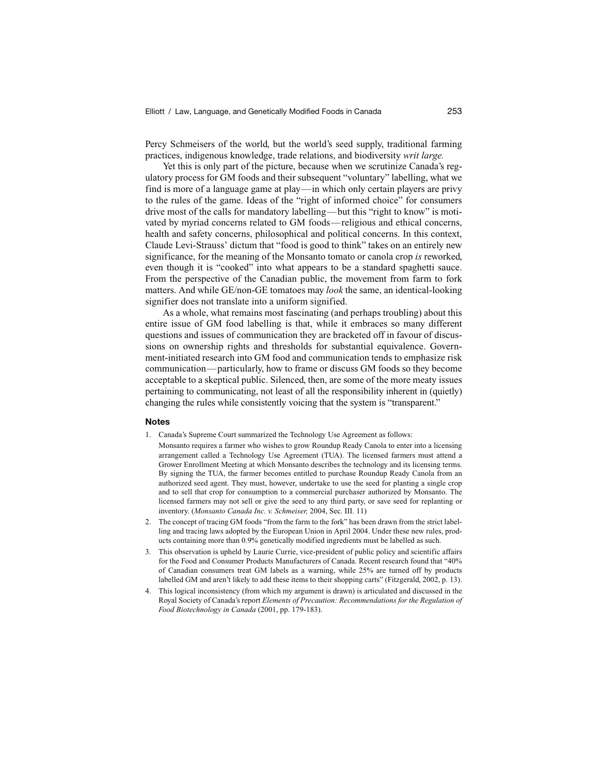Percy Schmeisers of the world, but the world's seed supply, traditional farming practices, indigenous knowledge, trade relations, and biodiversity *writ large.*

Yet this is only part of the picture, because when we scrutinize Canada's regulatory process for GM foods and their subsequent "voluntary" labelling, what we find is more of a language game at play—in which only certain players are privy to the rules of the game. Ideas of the "right of informed choice" for consumers drive most of the calls for mandatory labelling—but this "right to know" is motivated by myriad concerns related to GM foods—religious and ethical concerns, health and safety concerns, philosophical and political concerns. In this context, Claude Levi-Strauss' dictum that "food is good to think" takes on an entirely new significance, for the meaning of the Monsanto tomato or canola crop *is* reworked, even though it is "cooked" into what appears to be a standard spaghetti sauce. From the perspective of the Canadian public, the movement from farm to fork matters. And while GE/non-GE tomatoes may *look* the same, an identical-looking signifier does not translate into a uniform signified.

As a whole, what remains most fascinating (and perhaps troubling) about this entire issue of GM food labelling is that, while it embraces so many different questions and issues of communication they are bracketed off in favour of discussions on ownership rights and thresholds for substantial equivalence. Government-initiated research into GM food and communication tends to emphasize risk communication—particularly, how to frame or discuss GM foods so they become acceptable to a skeptical public. Silenced, then, are some of the more meaty issues pertaining to communicating, not least of all the responsibility inherent in (quietly) changing the rules while consistently voicing that the system is "transparent."

#### **Notes**

- 1. Canada's Supreme Court summarized the Technology Use Agreement as follows:
- Monsanto requires a farmer who wishes to grow Roundup Ready Canola to enter into a licensing arrangement called a Technology Use Agreement (TUA). The licensed farmers must attend a Grower Enrollment Meeting at which Monsanto describes the technology and its licensing terms. By signing the TUA, the farmer becomes entitled to purchase Roundup Ready Canola from an authorized seed agent. They must, however, undertake to use the seed for planting a single crop and to sell that crop for consumption to a commercial purchaser authorized by Monsanto. The licensed farmers may not sell or give the seed to any third party, or save seed for replanting or inventory. (*Monsanto Canada Inc. v. Schmeiser,* 2004, Sec. III. 11)
- 2. The concept of tracing GM foods "from the farm to the fork" has been drawn from the strict labelling and tracing laws adopted by the European Union in April 2004. Under these new rules, products containing more than 0.9% genetically modified ingredients must be labelled as such.
- 3. This observation is upheld by Laurie Currie, vice-president of public policy and scientific affairs for the Food and Consumer Products Manufacturers of Canada. Recent research found that "40% of Canadian consumers treat GM labels as a warning, while 25% are turned off by products labelled GM and aren't likely to add these items to their shopping carts" (Fitzgerald, 2002, p. 13).
- 4. This logical inconsistency (from which my argument is drawn) is articulated and discussed in the Royal Society of Canada's report *Elements of Precaution: Recommendations for the Regulation of Food Biotechnology in Canada* (2001, pp. 179-183).